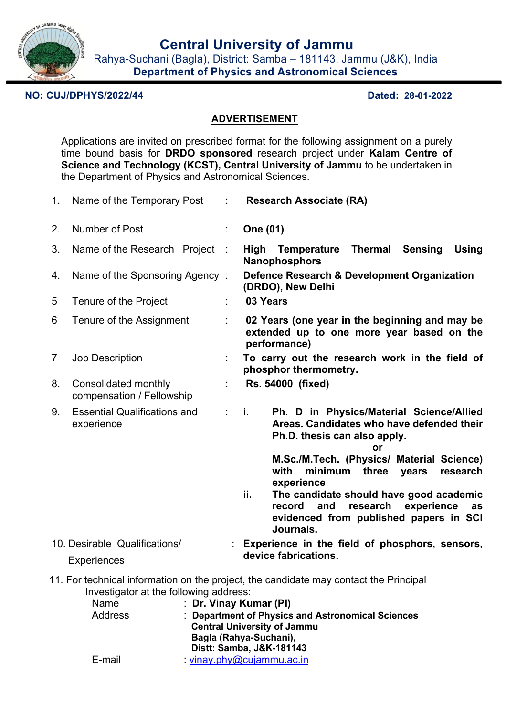

Rahya-Suchani (Bagla), District: Samba – 181143, Jammu (J&K), India **Department of Physics and Astronomical Sciences**

# **NO: CUJ/DPHYS/2022/44 Dated: 28-01-2022**

## **ADVERTISEMENT**

Applications are invited on prescribed format for the following assignment on a purely time bound basis for **DRDO sponsored** research project under **Kalam Centre of Science and Technology (KCST), Central University of Jammu** to be undertaken in the Department of Physics and Astronomical Sciences.

| 1.                                                                                                                                                                                                                                                                                                                                               | Name of the Temporary Post                        | ÷                         | <b>Research Associate (RA)</b>                                                                                                                                                                                                                                                                                                                                                           |  |  |
|--------------------------------------------------------------------------------------------------------------------------------------------------------------------------------------------------------------------------------------------------------------------------------------------------------------------------------------------------|---------------------------------------------------|---------------------------|------------------------------------------------------------------------------------------------------------------------------------------------------------------------------------------------------------------------------------------------------------------------------------------------------------------------------------------------------------------------------------------|--|--|
| 2.                                                                                                                                                                                                                                                                                                                                               | Number of Post                                    | ÷                         | <b>One (01)</b>                                                                                                                                                                                                                                                                                                                                                                          |  |  |
| 3.                                                                                                                                                                                                                                                                                                                                               | Name of the Research Project :                    |                           | Thermal<br>High Temperature<br><b>Sensing</b><br><b>Using</b><br><b>Nanophosphors</b>                                                                                                                                                                                                                                                                                                    |  |  |
| 4.                                                                                                                                                                                                                                                                                                                                               | Name of the Sponsoring Agency:                    |                           | Defence Research & Development Organization<br>(DRDO), New Delhi                                                                                                                                                                                                                                                                                                                         |  |  |
| 5                                                                                                                                                                                                                                                                                                                                                | Tenure of the Project                             |                           | 03 Years                                                                                                                                                                                                                                                                                                                                                                                 |  |  |
| 6                                                                                                                                                                                                                                                                                                                                                | Tenure of the Assignment                          |                           | 02 Years (one year in the beginning and may be<br>extended up to one more year based on the<br>performance)                                                                                                                                                                                                                                                                              |  |  |
| $\overline{7}$                                                                                                                                                                                                                                                                                                                                   | Job Description                                   |                           | To carry out the research work in the field of<br>phosphor thermometry.                                                                                                                                                                                                                                                                                                                  |  |  |
| 8.                                                                                                                                                                                                                                                                                                                                               | Consolidated monthly<br>compensation / Fellowship |                           | Rs. 54000 (fixed)                                                                                                                                                                                                                                                                                                                                                                        |  |  |
| 9.                                                                                                                                                                                                                                                                                                                                               | <b>Essential Qualifications and</b><br>experience | $\mathbf{r} = \mathbf{r}$ | Ph. D in Physics/Material Science/Allied<br>Areas. Candidates who have defended their<br>Ph.D. thesis can also apply.<br>M.Sc./M.Tech. (Physics/ Material Science)<br>with<br>minimum three<br>years<br>research<br>experience<br>ii.<br>The candidate should have good academic<br>research<br>and<br>experience<br>record<br>as<br>evidenced from published papers in SCI<br>Journals. |  |  |
| 10. Desirable Qualifications/<br><b>Experiences</b>                                                                                                                                                                                                                                                                                              |                                                   |                           | Experience in the field of phosphors, sensors,<br>device fabrications.                                                                                                                                                                                                                                                                                                                   |  |  |
| 11. For technical information on the project, the candidate may contact the Principal<br>Investigator at the following address:<br>: Dr. Vinay Kumar (PI)<br><b>Name</b><br><b>Address</b><br><b>Department of Physics and Astronomical Sciences</b><br><b>Central University of Jammu</b><br>Bagla (Rahya-Suchani),<br>Distt: Samba, J&K-181143 |                                                   |                           |                                                                                                                                                                                                                                                                                                                                                                                          |  |  |

E-mail : vinay.phy@cujammu.ac.in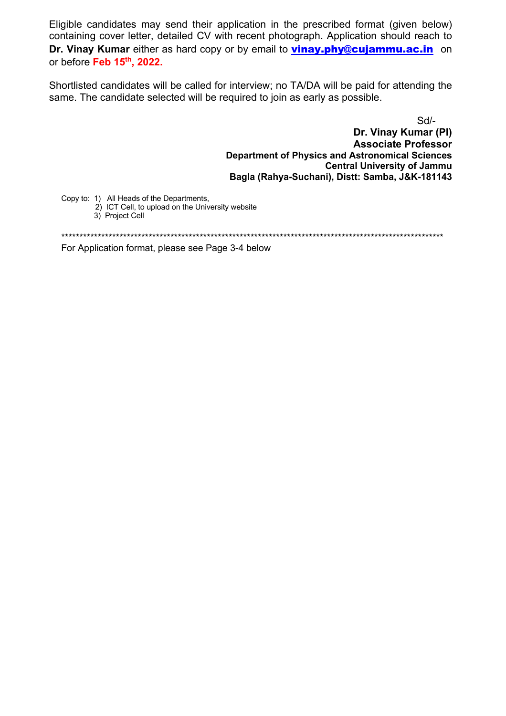Eligible candidates may send their application in the prescribed format (given below) containing cover letter, detailed CV with recent photograph. Application should reach to Dr. Vinay Kumar either as hard copy or by email to vinay.phy@cujammu.ac.in on or before Feb 15th, 2022.

Shortlisted candidates will be called for interview; no TA/DA will be paid for attending the same. The candidate selected will be required to join as early as possible.

Sd/-

Dr. Vinay Kumar (PI) **Associate Professor Department of Physics and Astronomical Sciences Central University of Jammu** Bagla (Rahya-Suchani), Distt: Samba, J&K-181143

Copy to: 1) All Heads of the Departments.

- 2) ICT Cell, to upload on the University website 3) Project Cell
- 

For Application format, please see Page 3-4 below